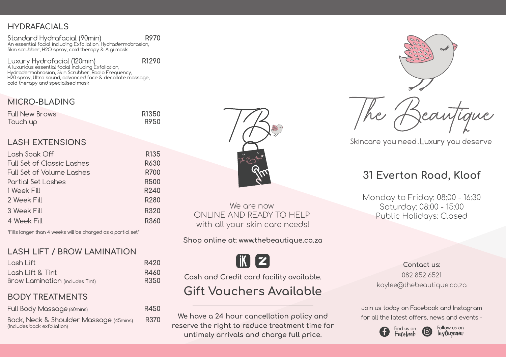# **HYDRAFACIALS**

**R970** Standard Hydrafacial (90min) An essential facial including Exfoliation, Hydradermabrasion, Skin scrubber, H2O spray, cold therapy & Algi mask

**R1290** Luxury Hydrafacial (120min) A luxurious essential facial including Exfoliation, Hydradermabrasion, Skin Scrubber, Radio Frequency, H20 spray, Ultra sound, advanced face & decollate massage, cold therapy and specialised mask

# **MICRO-BLADING**

| <b>Full New Brows</b> | R1350 |
|-----------------------|-------|
| Touch up              | R950  |

# **LASH EXTENSIONS**

| Lash Soak Off              | R <sub>135</sub> |
|----------------------------|------------------|
| Full Set of Classic Lashes | R630             |
| Full Set of Volume Lashes  | R700             |
| Partial Set Lashes         | <b>R500</b>      |
| 1 Week Fill                | R240             |
| 2 Week Fill                | R280             |
| 3 Week Fill                | R320             |
| 4 Week Fill                | R360             |

\*Fills longer than 4 weeks will be charged as a partial set\*

### **LASH LIFT / BROW LAMINATION**

| Losh Lift                       | R420 |
|---------------------------------|------|
| Losh Lift & Tint                | R460 |
| Brow Lamination (includes Tint) | R350 |

## **BODY TREATMENTS**

| Full Body Massage (60mins)                                            | R450 |
|-----------------------------------------------------------------------|------|
| Back, Neck & Shoulder Massage (45mins)<br>(Includes back exfoliation) | R370 |



We are now ONLINE AND READY TO HELP with all your skin care needs!

**Shop online at: www.thebeautique.co.za**

I IK II Z

**Cash and Credit card facility available.**

# **Gift Vouchers Available**

We have a 24 hour cancellation policy and **for all the latest offers**, news and events **reserve the right to reduce treatment time for untimely arrivals and charge full price.**



Skincare you need. Luxury you deserve

# **31 Everton Road, Kloof**

Monday to Friday: 08:00 - 16:30 Saturday: 08:00 - 15:00 Public Holidays: Closed

> **Contact us:** 082 852 6521 kaylee@thebeautique.co.za

Join us today on Facebook and Instagram



Follow us on Instagram